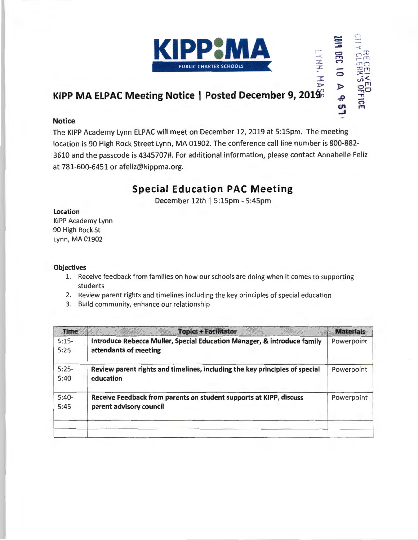

 $\frac{1}{2}$ 

\_.  $\equiv$ ::0 ີງລີ

'" -<

**CEIVS**<br>RECEIVS

 $\frac{1}{2}$ 

0 }> *-R*  **CJ1**  -'

## **KIPP MA ELPAC Meeting Notice | Posted December 9, 201** $9\%$

#### **Notice**

The KIPP Academy Lynn ELPAC will meet on December 12, 2019 at 5:15pm. The meeting location is 90 High Rock Street Lynn, MA 01902. The conference call line number is 800-882-3610 and the passcode is 4345707#. For additional information, please contact Annabelle Feliz at 781-600-6451 or afeliz@kippma.org.

## **Special Education PAC Meeting**

December 12th | 5:15pm - 5:45pm

#### Location

KIPP Academy Lynn 90 High Rock St Lynn, MA 01902

#### **Objectives**

- 1. Receive feedback from families on how our schools are doing when it comes to supporting students
- 2. Review parent rights and timelines including the key principles of special education
- 3. Build community, enhance our relationship

| <b>Time</b> | <b>Topics + Facilitator</b>                                                 | <b>Materials</b> |
|-------------|-----------------------------------------------------------------------------|------------------|
| $5:15-$     | Introduce Rebecca Muller, Special Education Manager, & introduce family     | Powerpoint       |
| 5:25        | attendants of meeting                                                       |                  |
| $5:25-$     | Review parent rights and timelines, including the key principles of special | Powerpoint       |
| 5:40        | education                                                                   |                  |
| $5:40-$     | Receive Feedback from parents on student supports at KIPP, discuss          | Powerpoint       |
| 5:45        | parent advisory council                                                     |                  |
|             |                                                                             |                  |
|             |                                                                             |                  |